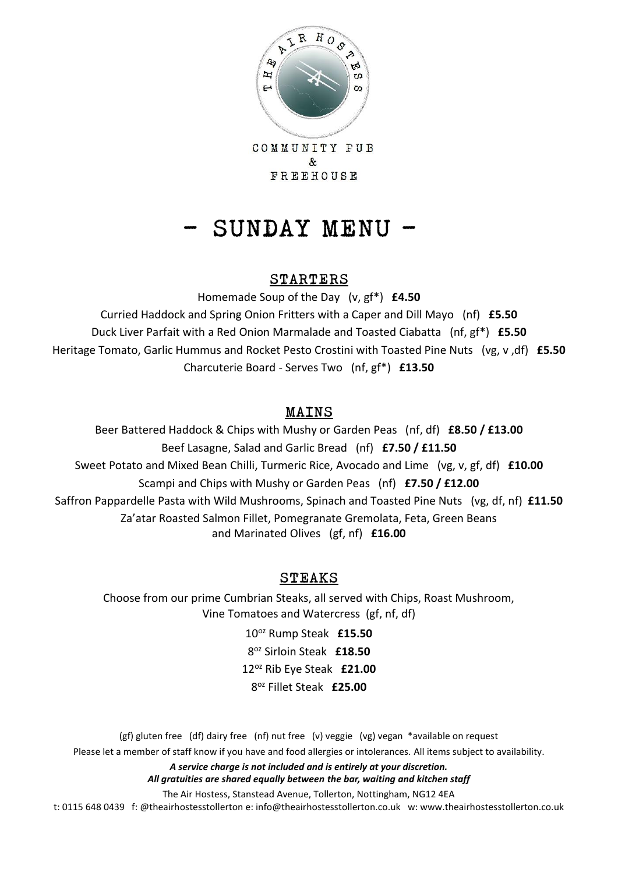

COMMUNITY PUB & FREEHOUSE

# - SUNDAY MENU -

### STARTERS

Homemade Soup of the Day (v, gf\*) **£4.50** Curried Haddock and Spring Onion Fritters with a Caper and Dill Mayo (nf) **£5.50** Duck Liver Parfait with a Red Onion Marmalade and Toasted Ciabatta (nf, gf\*) **£5.50** Heritage Tomato, Garlic Hummus and Rocket Pesto Crostini with Toasted Pine Nuts (vg, v ,df) **£5.50** Charcuterie Board - Serves Two (nf, gf\*) **£13.50**

# MAINS

Beer Battered Haddock & Chips with Mushy or Garden Peas (nf, df) **£8.50 / £13.00** Beef Lasagne, Salad and Garlic Bread (nf) **£7.50 / £11.50** Sweet Potato and Mixed Bean Chilli, Turmeric Rice, Avocado and Lime (vg, v, gf, df) **£10.00** Scampi and Chips with Mushy or Garden Peas (nf) **£7.50 / £12.00** Saffron Pappardelle Pasta with Wild Mushrooms, Spinach and Toasted Pine Nuts (vg, df, nf) **£11.50** Za'atar Roasted Salmon Fillet, Pomegranate Gremolata, Feta, Green Beans and Marinated Olives (gf, nf) **£16.00**

# STEAKS

Choose from our prime Cumbrian Steaks, all served with Chips, Roast Mushroom, Vine Tomatoes and Watercress (gf, nf, df)

> oz Rump Steak **£15.50** oz Sirloin Steak **£18.50** oz Rib Eye Steak **£21.00** oz Fillet Steak **£25.00**

(gf) gluten free (df) dairy free (nf) nut free (v) veggie (vg) vegan \*available on request Please let a member of staff know if you have and food allergies or intolerances. All items subject to availability.

*A service charge is not included and is entirely at your discretion.* 

*All gratuities are shared equally between the bar, waiting and kitchen staff*

The Air Hostess, Stanstead Avenue, Tollerton, Nottingham, NG12 4EA

t: 0115 648 0439 f: @theairhostesstollerton e: info@theairhostesstollerton.co.uk w: www.theairhostesstollerton.co.uk